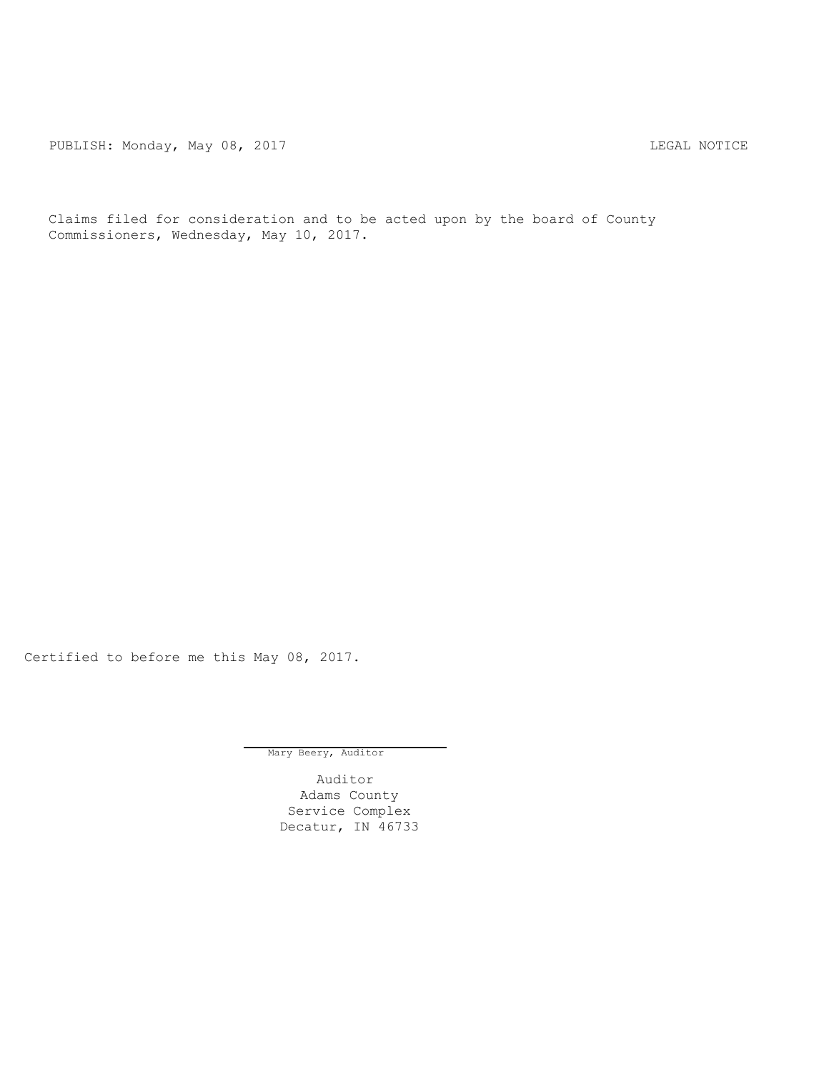PUBLISH: Monday, May 08, 2017 CHANGE CONSTRUCTED THE MOTICE LEGAL NOTICE

Claims filed for consideration and to be acted upon by the board of County Commissioners, Wednesday, May 10, 2017.

Certified to before me this May 08, 2017.

Mary Beery, Auditor

Auditor Adams County Service Complex Decatur, IN 46733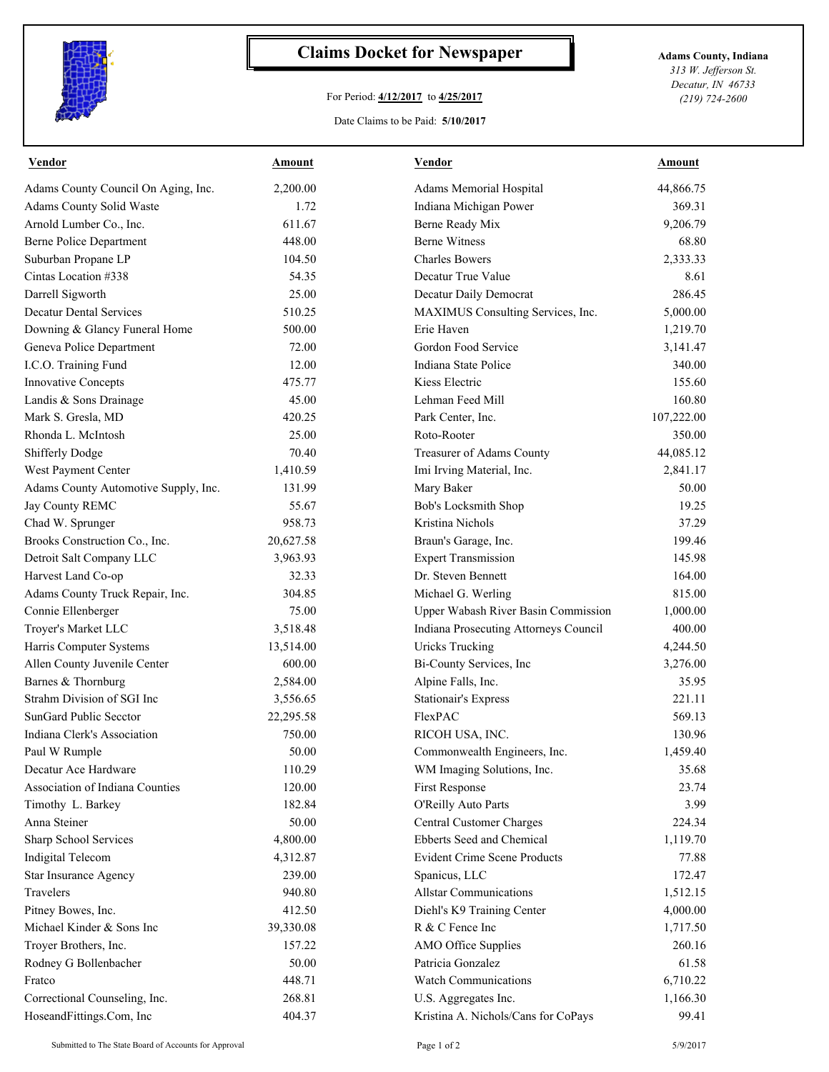

## **Claims Docket for Newspaper Adams County, Indiana**

## For Period: **4/12/2017** to **4/25/2017**

*313 W. Jefferson St. Decatur, IN 46733 (219) 724-2600*

Date Claims to be Paid: **5/10/2017**

| Vendor                               | Amount    | Vendor                                | Amount     |
|--------------------------------------|-----------|---------------------------------------|------------|
| Adams County Council On Aging, Inc.  | 2,200.00  | Adams Memorial Hospital               | 44,866.75  |
| Adams County Solid Waste             | 1.72      | Indiana Michigan Power                | 369.31     |
| Arnold Lumber Co., Inc.              | 611.67    | Berne Ready Mix                       | 9,206.79   |
| <b>Berne Police Department</b>       | 448.00    | <b>Berne Witness</b>                  | 68.80      |
| Suburban Propane LP                  | 104.50    | <b>Charles Bowers</b>                 | 2,333.33   |
| Cintas Location #338                 | 54.35     | Decatur True Value                    | 8.61       |
| Darrell Sigworth                     | 25.00     | Decatur Daily Democrat                | 286.45     |
| <b>Decatur Dental Services</b>       | 510.25    | MAXIMUS Consulting Services, Inc.     | 5,000.00   |
| Downing & Glancy Funeral Home        | 500.00    | Erie Haven                            | 1,219.70   |
| Geneva Police Department             | 72.00     | Gordon Food Service                   | 3,141.47   |
| I.C.O. Training Fund                 | 12.00     | Indiana State Police                  | 340.00     |
| Innovative Concepts                  | 475.77    | Kiess Electric                        | 155.60     |
| Landis & Sons Drainage               | 45.00     | Lehman Feed Mill                      | 160.80     |
| Mark S. Gresla, MD                   | 420.25    | Park Center, Inc.                     | 107,222.00 |
| Rhonda L. McIntosh                   | 25.00     | Roto-Rooter                           | 350.00     |
| Shifferly Dodge                      | 70.40     | Treasurer of Adams County             | 44,085.12  |
| West Payment Center                  | 1,410.59  | Imi Irving Material, Inc.             | 2,841.17   |
| Adams County Automotive Supply, Inc. | 131.99    | Mary Baker                            | 50.00      |
| Jay County REMC                      | 55.67     | Bob's Locksmith Shop                  | 19.25      |
| Chad W. Sprunger                     | 958.73    | Kristina Nichols                      | 37.29      |
| Brooks Construction Co., Inc.        | 20,627.58 | Braun's Garage, Inc.                  | 199.46     |
| Detroit Salt Company LLC             | 3,963.93  | <b>Expert Transmission</b>            | 145.98     |
| Harvest Land Co-op                   | 32.33     | Dr. Steven Bennett                    | 164.00     |
| Adams County Truck Repair, Inc.      | 304.85    | Michael G. Werling                    | 815.00     |
| Connie Ellenberger                   | 75.00     | Upper Wabash River Basin Commission   | 1,000.00   |
| Troyer's Market LLC                  | 3,518.48  | Indiana Prosecuting Attorneys Council | 400.00     |
| Harris Computer Systems              | 13,514.00 | <b>Uricks Trucking</b>                | 4,244.50   |
| Allen County Juvenile Center         | 600.00    | Bi-County Services, Inc               | 3,276.00   |
| Barnes & Thornburg                   | 2,584.00  | Alpine Falls, Inc.                    | 35.95      |
| Strahm Division of SGI Inc           | 3,556.65  | <b>Stationair's Express</b>           | 221.11     |
| <b>SunGard Public Secctor</b>        | 22,295.58 | FlexPAC                               | 569.13     |
| Indiana Clerk's Association          | 750.00    | RICOH USA, INC.                       | 130.96     |
| Paul W Rumple                        | 50.00     | Commonwealth Engineers, Inc.          | 1,459.40   |
| Decatur Ace Hardware                 | 110.29    | WM Imaging Solutions, Inc.            | 35.68      |
| Association of Indiana Counties      | 120.00    | First Response                        | 23.74      |
| Timothy L. Barkey                    | 182.84    | O'Reilly Auto Parts                   | 3.99       |
| Anna Steiner                         | 50.00     | Central Customer Charges              | 224.34     |
| Sharp School Services                | 4,800.00  | Ebberts Seed and Chemical             | 1,119.70   |
| <b>Indigital Telecom</b>             | 4,312.87  | <b>Evident Crime Scene Products</b>   | 77.88      |
| Star Insurance Agency                | 239.00    | Spanicus, LLC                         | 172.47     |
| Travelers                            | 940.80    | <b>Allstar Communications</b>         | 1,512.15   |
| Pitney Bowes, Inc.                   | 412.50    | Diehl's K9 Training Center            | 4,000.00   |
| Michael Kinder & Sons Inc            | 39,330.08 | R & C Fence Inc                       | 1,717.50   |
| Troyer Brothers, Inc.                | 157.22    | AMO Office Supplies                   | 260.16     |
| Rodney G Bollenbacher                | 50.00     | Patricia Gonzalez                     | 61.58      |
| Fratco                               | 448.71    | <b>Watch Communications</b>           | 6,710.22   |
| Correctional Counseling, Inc.        | 268.81    | U.S. Aggregates Inc.                  | 1,166.30   |
|                                      |           |                                       |            |
| HoseandFittings.Com, Inc             | 404.37    | Kristina A. Nichols/Cans for CoPays   | 99.41      |